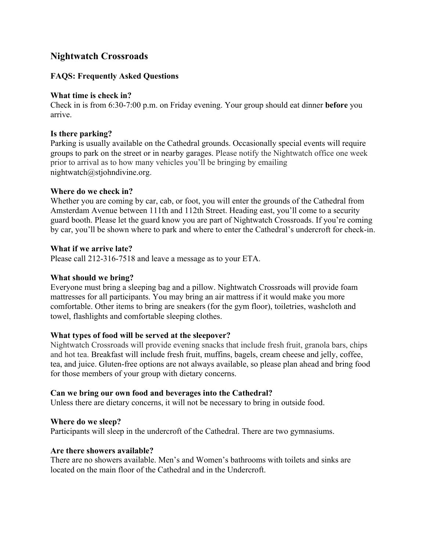# **Nightwatch Crossroads**

# **FAQS: Frequently Asked Questions**

## **What time is check in?**

Check in is from 6:30-7:00 p.m. on Friday evening. Your group should eat dinner **before** you arrive.

# **Is there parking?**

Parking is usually available on the Cathedral grounds. Occasionally special events will require groups to park on the street or in nearby garages. Please notify the Nightwatch office one week prior to arrival as to how many vehicles you'll be bringing by emailing nightwatch@stjohndivine.org.

## **Where do we check in?**

Whether you are coming by car, cab, or foot, you will enter the grounds of the Cathedral from Amsterdam Avenue between 111th and 112th Street. Heading east, you'll come to a security guard booth. Please let the guard know you are part of Nightwatch Crossroads. If you're coming by car, you'll be shown where to park and where to enter the Cathedral's undercroft for check-in.

## **What if we arrive late?**

Please call 212-316-7518 and leave a message as to your ETA.

# **What should we bring?**

Everyone must bring a sleeping bag and a pillow. Nightwatch Crossroads will provide foam mattresses for all participants. You may bring an air mattress if it would make you more comfortable. Other items to bring are sneakers (for the gym floor), toiletries, washcloth and towel, flashlights and comfortable sleeping clothes.

# **What types of food will be served at the sleepover?**

Nightwatch Crossroads will provide evening snacks that include fresh fruit, granola bars, chips and hot tea. Breakfast will include fresh fruit, muffins, bagels, cream cheese and jelly, coffee, tea, and juice. Gluten-free options are not always available, so please plan ahead and bring food for those members of your group with dietary concerns.

#### **Can we bring our own food and beverages into the Cathedral?**

Unless there are dietary concerns, it will not be necessary to bring in outside food.

# **Where do we sleep?**

Participants will sleep in the undercroft of the Cathedral. There are two gymnasiums.

#### **Are there showers available?**

There are no showers available. Men's and Women's bathrooms with toilets and sinks are located on the main floor of the Cathedral and in the Undercroft.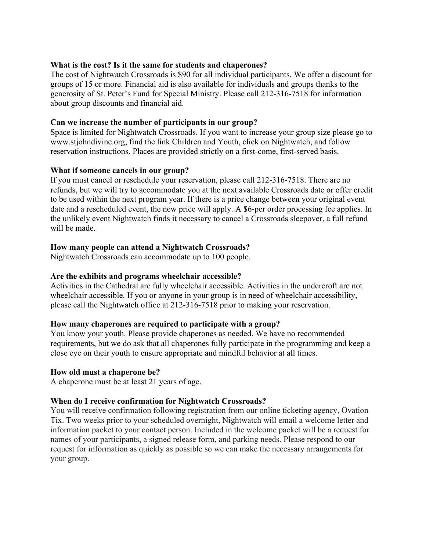#### **What is the cost? Is it the same for students and chaperones?**

The cost of Nightwatch Crossroads is \$90 for all individual participants. We offer a discount for groups of 15 or more. Financial aid is also available for individuals and groups thanks to the generosity of St. Peter's Fund for Special Ministry. Please call 212-316-7518 for information about group discounts and financial aid.

## **Can we increase the number of participants in our group?**

Space is limited for Nightwatch Crossroads. If you want to increase your group size please go to www.stjohndivine.org, find the link Children and Youth, click on Nightwatch, and follow reservation instructions. Places are provided strictly on a first-come, first-served basis.

## **What if someone cancels in our group?**

If you must cancel or reschedule your reservation, please call 212-316-7518. There are no refunds, but we will try to accommodate you at the next available Crossroads date or offer credit to be used within the next program year. If there is a price change between your original event date and a rescheduled event, the new price will apply. A \$6-per order processing fee applies. In the unlikely event Nightwatch finds it necessary to cancel a Crossroads sleepover, a full refund will be made.

## **How many people can attend a Nightwatch Crossroads?**

Nightwatch Crossroads can accommodate up to 100 people.

#### **Are the exhibits and programs wheelchair accessible?**

Activities in the Cathedral are fully wheelchair accessible. Activities in the undercroft are not wheelchair accessible. If you or anyone in your group is in need of wheelchair accessibility, please call the Nightwatch office at 212-316-7518 prior to making your reservation.

#### **How many chaperones are required to participate with a group?**

You know your youth. Please provide chaperones as needed. We have no recommended requirements, but we do ask that all chaperones fully participate in the programming and keep a close eye on their youth to ensure appropriate and mindful behavior at all times.

#### **How old must a chaperone be?**

A chaperone must be at least 21 years of age.

#### **When do I receive confirmation for Nightwatch Crossroads?**

You will receive confirmation following registration from our online ticketing agency, Ovation Tix. Two weeks prior to your scheduled overnight, Nightwatch will email a welcome letter and information packet to your contact person. Included in the welcome packet will be a request for names of your participants, a signed release form, and parking needs. Please respond to our request for information as quickly as possible so we can make the necessary arrangements for your group.